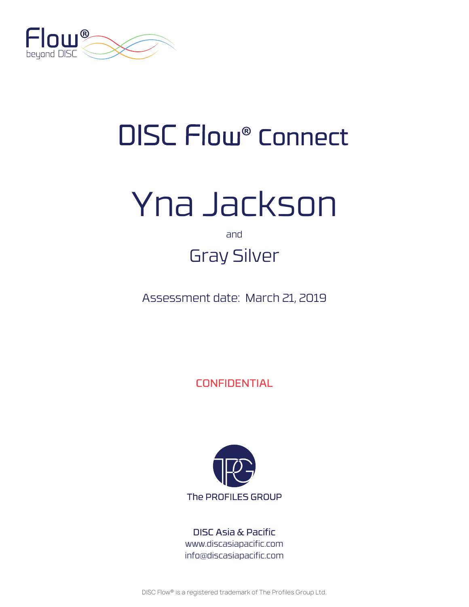

## DISC Flow<sup>®</sup> Connect

# Yna Jackson

and

## Gray Silver

Assessment date: March 21, 2019

**CONFIDENTIAL** 



DISC Asia & Pacific www.discasiapacific.com info@discasiapacific.com

DISC Flow® is a registered trademark of The Profiles Group Ltd.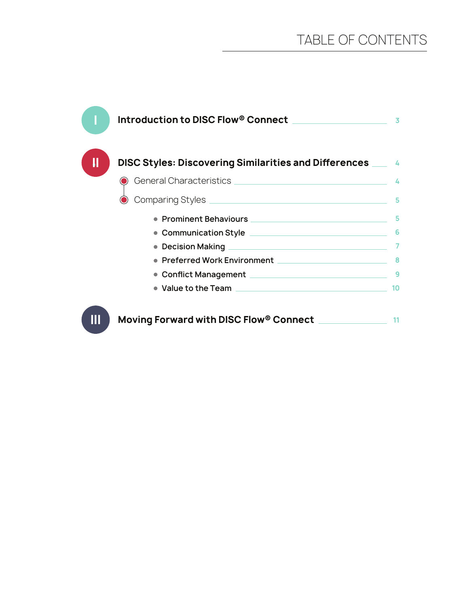| Introduction to DISC Flow® Connect National Management of the Management of the Management of the U | 3  |
|-----------------------------------------------------------------------------------------------------|----|
| DISC Styles: Discovering Similarities and Differences ___                                           | A  |
|                                                                                                     | 4  |
|                                                                                                     | 5  |
|                                                                                                     | 5  |
| • Communication Style <u>______________________________</u>                                         | 6  |
|                                                                                                     |    |
| Preferred Work Environment                                                                          |    |
|                                                                                                     | 9  |
| • Value to the Team <b>contract of the Central Contract of the Team</b>                             | 10 |
| Moving Forward with DISC Flow® Connect                                                              |    |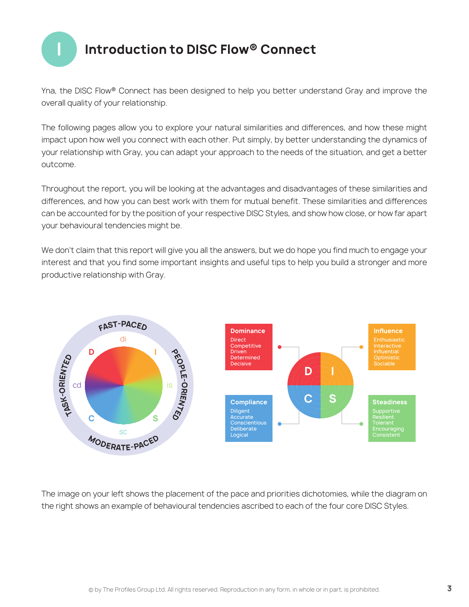

## **I Introduction to DISC Flow® Connect**

Yna, the DISC Flow® Connect has been designed to help you better understand Gray and improve the overall quality of your relationship.

The following pages allow you to explore your natural similarities and differences, and how these might impact upon how well you connect with each other. Put simply, by better understanding the dynamics of your relationship with Gray, you can adapt your approach to the needs of the situation, and get a better outcome.

Throughout the report, you will be looking at the advantages and disadvantages of these similarities and differences, and how you can best work with them for mutual benefit. These similarities and differences can be accounted for by the position of your respective DISC Styles, and show how close, or how far apart your behavioural tendencies might be.

We don't claim that this report will give you all the answers, but we do hope you find much to engage your interest and that you find some important insights and useful tips to help you build a stronger and more productive relationship with Gray.



The image on your left shows the placement of the pace and priorities dichotomies, while the diagram on the right shows an example of behavioural tendencies ascribed to each of the four core DISC Styles.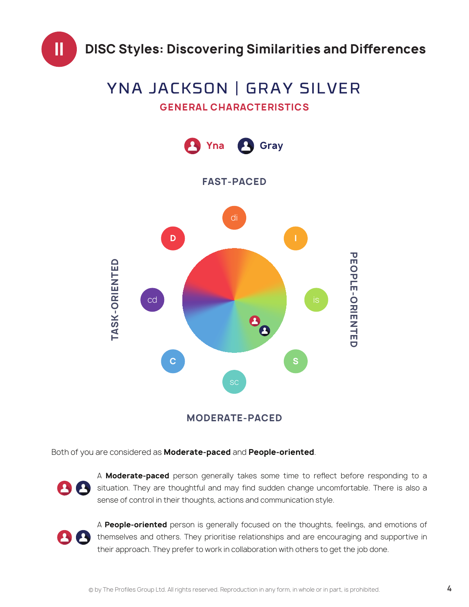

## **GENERAL CHARACTERISTICS** YNA JACKSON | GRAY SILVER



**MODERATE-PACED**

Both of you are considered as **Moderate-paced** and **People-oriented**.



A **Moderate-paced** person generally takes some time to reflect before responding to a situation. They are thoughtful and may find sudden change uncomfortable. There is also a sense of control in their thoughts, actions and communication style.



A **People-oriented** person is generally focused on the thoughts, feelings, and emotions of themselves and others. They prioritise relationships and are encouraging and supportive in their approach. They prefer to work in collaboration with others to get the job done.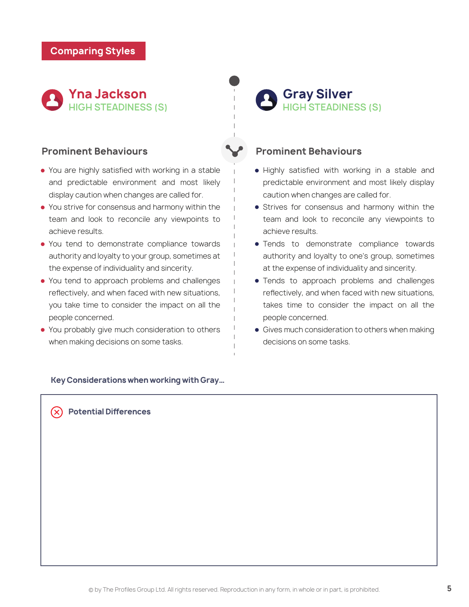

### **Prominent Behaviours**

- You are highly satisfied with working in a stable and predictable environment and most likely display caution when changes are called for.
- You strive for consensus and harmony within the team and look to reconcile any viewpoints to achieve results.
- You tend to demonstrate compliance towards authority and loyalty to your group, sometimes at the expense of individuality and sincerity.
- You tend to approach problems and challenges reflectively, and when faced with new situations, you take time to consider the impact on all the people concerned.
- You probably give much consideration to others when making decisions on some tasks.

**HIGH STEADINESS (S) Gray Silver**

## **Prominent Behaviours**

- Highly satisfied with working in a stable and predictable environment and most likely display caution when changes are called for.
- **•** Strives for consensus and harmony within the team and look to reconcile any viewpoints to achieve results.
- Tends to demonstrate compliance towards authority and loyalty to one's group, sometimes at the expense of individuality and sincerity.
- Tends to approach problems and challenges reflectively, and when faced with new situations, takes time to consider the impact on all the people concerned.
- Gives much consideration to others when making decisions on some tasks.

### **Key Considerations when working with Gray…**

**Potential Differences**  $(\times)$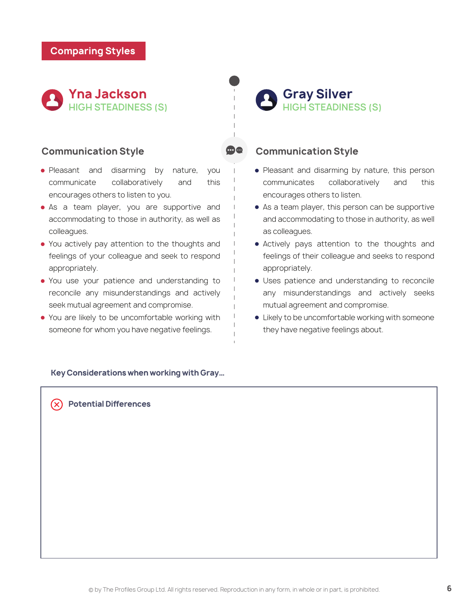

## **Communication Style**

- Pleasant and disarming by nature, you communicate collaboratively and this encourages others to listen to you.
- As a team player, you are supportive and accommodating to those in authority, as well as colleagues.
- You actively pay attention to the thoughts and feelings of your colleague and seek to respond appropriately.
- You use your patience and understanding to reconcile any misunderstandings and actively seek mutual agreement and compromise.
- You are likely to be uncomfortable working with someone for whom you have negative feelings.

#### **Key Considerations when working with Gray…**

**Potential Differences** 

**HIGH STEADINESS (S) Gray Silver**

## **Communication Style**

- Pleasant and disarming by nature, this person communicates collaboratively and this encourages others to listen.
- As a team player, this person can be supportive and accommodating to those in authority, as well as colleagues.
- Actively pays attention to the thoughts and feelings of their colleague and seeks to respond appropriately.
- Uses patience and understanding to reconcile any misunderstandings and actively seeks mutual agreement and compromise.
- Likely to be uncomfortable working with someone they have negative feelings about.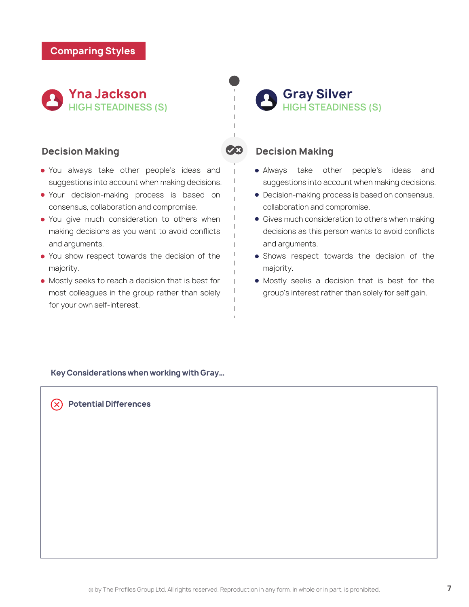

## **Decision Making**

- You always take other people's ideas and suggestions into account when making decisions.
- Your decision-making process is based on consensus, collaboration and compromise.
- You give much consideration to others when making decisions as you want to avoid conflicts and arguments.
- You show respect towards the decision of the majority.
- Mostly seeks to reach a decision that is best for most colleagues in the group rather than solely for your own self-interest.

## **HIGH STEADINESS (S) Gray Silver**

## **Decision Making**

- Always take other people's ideas and suggestions into account when making decisions.
- Decision-making process is based on consensus, collaboration and compromise.
- **Gives much consideration to others when making** decisions as this person wants to avoid conflicts and arguments.
- Shows respect towards the decision of the majority.
- Mostly seeks a decision that is best for the group's interest rather than solely for self gain.

**Key Considerations when working with Gray…**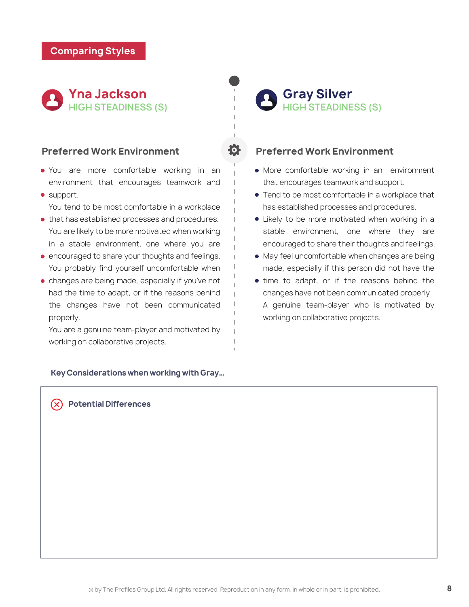

### **Preferred Work Environment**

- You are more comfortable working in an environment that encourages teamwork and
- support.

You tend to be most comfortable in a workplace

- $\bullet$  that has established processes and procedures. You are likely to be more motivated when working in a stable environment, one where you are
- **encouraged to share your thoughts and feelings.** You probably find yourself uncomfortable when
- changes are being made, especially if you've not had the time to adapt, or if the reasons behind the changes have not been communicated properly.

You are a genuine team-player and motivated by working on collaborative projects.

#### **Key Considerations when working with Gray…**

## **HIGH STEADINESS (S) Gray Silver**

## **Preferred Work Environment**

- More comfortable working in an environment that encourages teamwork and support.
- **Tend to be most comfortable in a workplace that** has established processes and procedures.
- Likely to be more motivated when working in a stable environment, one where they are encouraged to share their thoughts and feelings.
- May feel uncomfortable when changes are being made, especially if this person did not have the
- time to adapt, or if the reasons behind the changes have not been communicated properly A genuine team-player who is motivated by working on collaborative projects.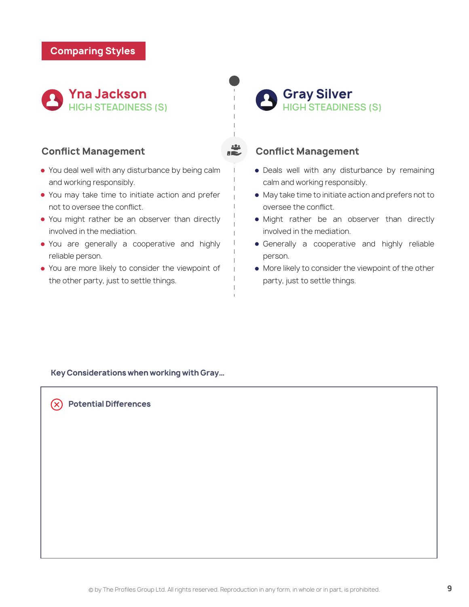

## **Conflict Management**

- You deal well with any disturbance by being calm and working responsibly.
- You may take time to initiate action and prefer not to oversee the conflict.
- You might rather be an observer than directly involved in the mediation.
- You are generally a cooperative and highly reliable person.
- You are more likely to consider the viewpoint of the other party, just to settle things.

**HIGH STEADINESS (S) Gray Silver**

## **Conflict Management**

- Deals well with any disturbance by remaining calm and working responsibly.
- May take time to initiate action and prefers not to oversee the conflict.
- Might rather be an observer than directly involved in the mediation.
- **•** Generally a cooperative and highly reliable person.
- More likely to consider the viewpoint of the other party, just to settle things.

**Key Considerations when working with Gray…**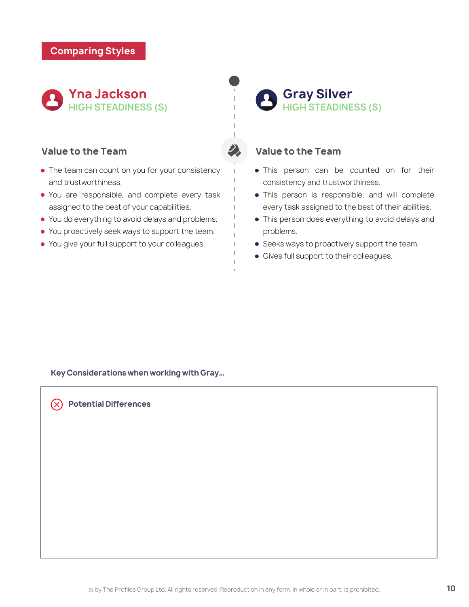

## **Value to the Team**

- The team can count on you for your consistency and trustworthiness.
- You are responsible, and complete every task assigned to the best of your capabilities.
- You do everything to avoid delays and problems.
- You proactively seek ways to support the team.
- You give your full support to your colleagues.

**HIGH STEADINESS (S) Gray Silver**

## **Value to the Team**

- This person can be counted on for their consistency and trustworthiness.
- This person is responsible, and will complete every task assigned to the best of their abilities.
- This person does everything to avoid delays and problems.
- **Seeks ways to proactively support the team.**
- Gives full support to their colleagues.

**Key Considerations when working with Gray…**